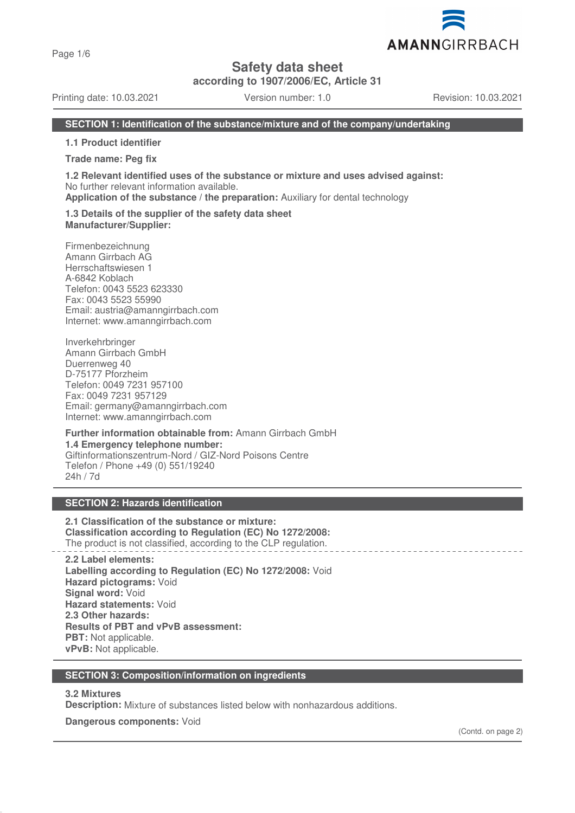Page 1/6

**Safety data sheet**

**according to 1907/2006/EC, Article 31**

Printing date: 10.03.2021 Version number: 1.0 Revision: 10.03.2021

# **SECTION 1: Identification of the substance/mixture and of the company/undertaking**

**1.1 Product identifier**

**Trade name: Peg fix**

**1.2 Relevant identified uses of the substance or mixture and uses advised against:** No further relevant information available.

**Application of the substance / the preparation:** Auxiliary for dental technology

#### **1.3 Details of the supplier of the safety data sheet Manufacturer/Supplier:**

Firmenbezeichnung Amann Girrbach AG Herrschaftswiesen 1 A-6842 Koblach Telefon: 0043 5523 623330 Fax: 0043 5523 55990 Email: austria@amanngirrbach.com Internet: www.amanngirrbach.com

Inverkehrbringer Amann Girrbach GmbH Duerrenweg 40 D-75177 Pforzheim Telefon: 0049 7231 957100 Fax: 0049 7231 957129 Email: germany@amanngirrbach.com Internet: www.amanngirrbach.com

**Further information obtainable from:** Amann Girrbach GmbH **1.4 Emergency telephone number:** Giftinformationszentrum-Nord / GIZ-Nord Poisons Centre Telefon / Phone +49 (0) 551/19240 24h / 7d

# **SECTION 2: Hazards identification**

**2.1 Classification of the substance or mixture: Classification according to Regulation (EC) No 1272/2008:** The product is not classified, according to the CLP regulation.

**2.2 Label elements: Labelling according to Regulation (EC) No 1272/2008:** Void **Hazard pictograms:** Void **Signal word:** Void **Hazard statements:** Void **2.3 Other hazards: Results of PBT and vPvB assessment: PBT:** Not applicable. **vPvB:** Not applicable.

# **SECTION 3: Composition/information on ingredients**

# **3.2 Mixtures**

**Description:** Mixture of substances listed below with nonhazardous additions.

**Dangerous components:** Void

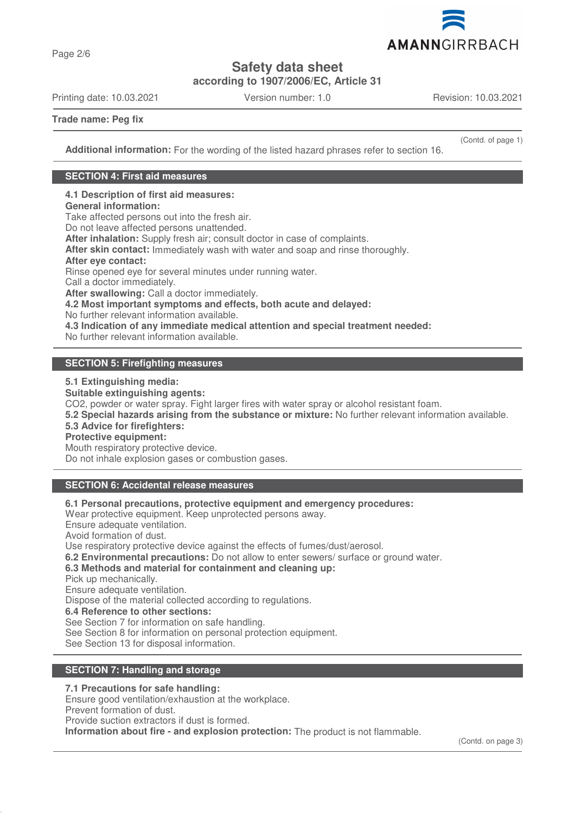

**Safety data sheet**

**according to 1907/2006/EC, Article 31**

Printing date: 10.03.2021 Version number: 1.0 Revision: 10.03.2021

**Trade name: Peg fix**

Page 2/6

(Contd. of page 1)

**Additional information:** For the wording of the listed hazard phrases refer to section 16.

# **SECTION 4: First aid measures**

**4.1 Description of first aid measures: General information:**

Take affected persons out into the fresh air.

Do not leave affected persons unattended.

**After inhalation:** Supply fresh air; consult doctor in case of complaints.

**After skin contact:** Immediately wash with water and soap and rinse thoroughly.

# **After eye contact:**

Rinse opened eye for several minutes under running water.

Call a doctor immediately.

**After swallowing:** Call a doctor immediately.

**4.2 Most important symptoms and effects, both acute and delayed:**

No further relevant information available.

**4.3 Indication of any immediate medical attention and special treatment needed:**

No further relevant information available.

# **SECTION 5: Firefighting measures**

**5.1 Extinguishing media:**

**Suitable extinguishing agents:**

CO2, powder or water spray. Fight larger fires with water spray or alcohol resistant foam.

**5.2 Special hazards arising from the substance or mixture:** No further relevant information available.

# **5.3 Advice for firefighters:**

**Protective equipment:**

Mouth respiratory protective device.

Do not inhale explosion gases or combustion gases.

# **SECTION 6: Accidental release measures**

**6.1 Personal precautions, protective equipment and emergency procedures:**

Wear protective equipment. Keep unprotected persons away.

Ensure adequate ventilation.

Avoid formation of dust.

Use respiratory protective device against the effects of fumes/dust/aerosol.

**6.2 Environmental precautions:** Do not allow to enter sewers/ surface or ground water.

# **6.3 Methods and material for containment and cleaning up:**

Pick up mechanically.

Ensure adequate ventilation.

Dispose of the material collected according to regulations.

**6.4 Reference to other sections:**

See Section 7 for information on safe handling.

See Section 8 for information on personal protection equipment.

See Section 13 for disposal information.

# **SECTION 7: Handling and storage**

# **7.1 Precautions for safe handling:**

Ensure good ventilation/exhaustion at the workplace.

Prevent formation of dust.

Provide suction extractors if dust is formed.

**Information about fire - and explosion protection:** The product is not flammable.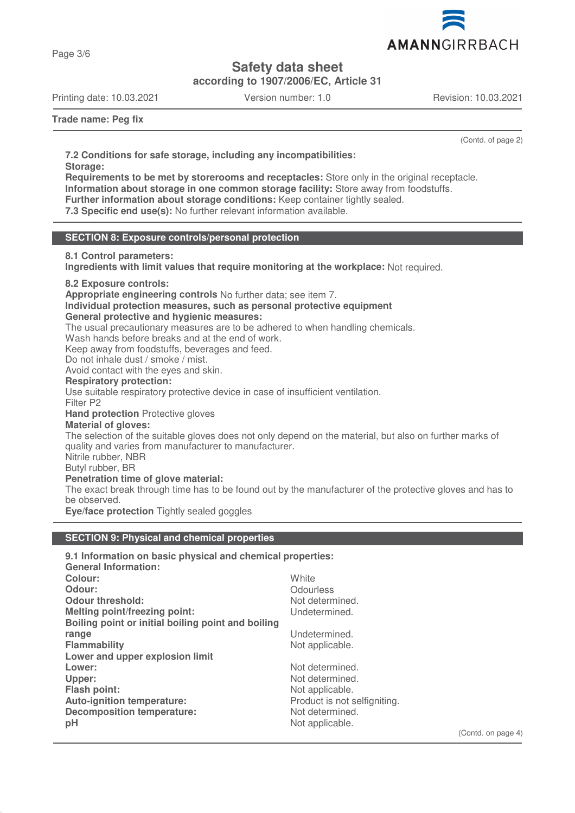

Page 3/6

# **Safety data sheet**

**according to 1907/2006/EC, Article 31**

Printing date: 10.03.2021 Version number: 1.0 Revision: 10.03.2021

**Trade name: Peg fix**

(Contd. of page 2)

**7.2 Conditions for safe storage, including any incompatibilities: Storage:**

**Requirements to be met by storerooms and receptacles:** Store only in the original receptacle. **Information about storage in one common storage facility:** Store away from foodstuffs.

**Further information about storage conditions:** Keep container tightly sealed.

**7.3 Specific end use(s):** No further relevant information available.

# **SECTION 8: Exposure controls/personal protection**

# **8.1 Control parameters:**

**Ingredients with limit values that require monitoring at the workplace:** Not required.

# **8.2 Exposure controls:**

**Appropriate engineering controls** No further data; see item 7.

#### **Individual protection measures, such as personal protective equipment General protective and hygienic measures:**

The usual precautionary measures are to be adhered to when handling chemicals.

Wash hands before breaks and at the end of work.

Keep away from foodstuffs, beverages and feed.

Do not inhale dust / smoke / mist.

Avoid contact with the eyes and skin.

# **Respiratory protection:**

Use suitable respiratory protective device in case of insufficient ventilation.

Filter P2

# **Hand protection** Protective gloves

# **Material of gloves:**

The selection of the suitable gloves does not only depend on the material, but also on further marks of quality and varies from manufacturer to manufacturer.

Nitrile rubber, NBR

Butyl rubber, BR

# **Penetration time of glove material:**

The exact break through time has to be found out by the manufacturer of the protective gloves and has to be observed.

**Eye/face protection** Tightly sealed goggles

# **SECTION 9: Physical and chemical properties**

| 9.1 Information on basic physical and chemical properties: |                              |  |  |
|------------------------------------------------------------|------------------------------|--|--|
| <b>General Information:</b>                                |                              |  |  |
| Colour:                                                    | White                        |  |  |
| Odour:                                                     | Odourless                    |  |  |
| <b>Odour threshold:</b>                                    | Not determined.              |  |  |
| Melting point/freezing point:                              | Undetermined.                |  |  |
| Boiling point or initial boiling point and boiling         |                              |  |  |
| range                                                      | Undetermined.                |  |  |
| <b>Flammability</b>                                        | Not applicable.              |  |  |
| Lower and upper explosion limit                            |                              |  |  |
| Lower:                                                     | Not determined.              |  |  |
| Upper:                                                     | Not determined.              |  |  |
| <b>Flash point:</b>                                        | Not applicable.              |  |  |
| Auto-ignition temperature:                                 | Product is not selfigniting. |  |  |
| <b>Decomposition temperature:</b>                          | Not determined.              |  |  |
| pH                                                         | Not applicable.              |  |  |

(Contd. on page 4)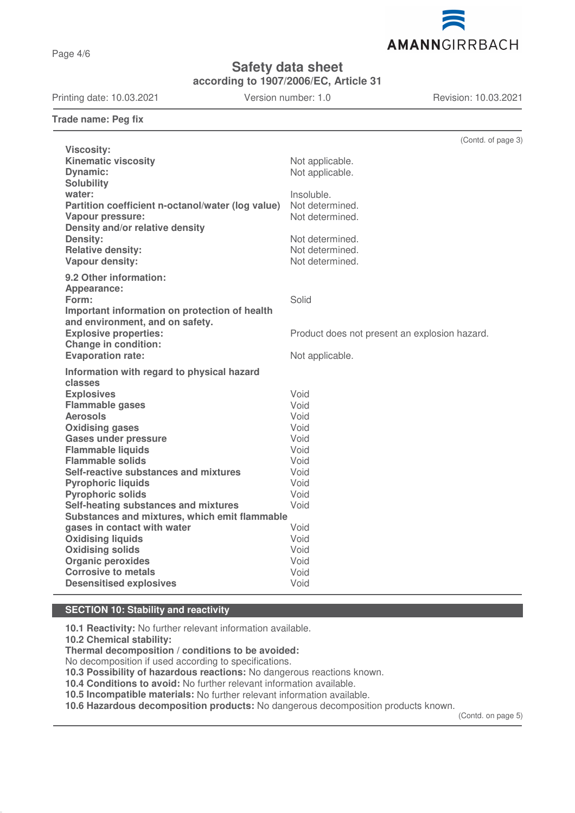Page 4/6

# AMANNGIRRBACH

**Safety data sheet**

**according to 1907/2006/EC, Article 31**

Printing date: 10.03.2021 Version number: 1.0 Revision: 10.03.2021

**Trade name: Peg fix**

|                                                   | (Contd. of page 3)                            |
|---------------------------------------------------|-----------------------------------------------|
| <b>Viscosity:</b>                                 |                                               |
| <b>Kinematic viscosity</b>                        | Not applicable.                               |
| <b>Dynamic:</b>                                   | Not applicable.                               |
| <b>Solubility</b>                                 |                                               |
| water:                                            | Insoluble.                                    |
| Partition coefficient n-octanol/water (log value) | Not determined.                               |
| Vapour pressure:                                  | Not determined.                               |
| Density and/or relative density                   |                                               |
| Density:                                          | Not determined.                               |
| <b>Relative density:</b>                          | Not determined.                               |
| Vapour density:                                   | Not determined.                               |
| 9.2 Other information:                            |                                               |
| Appearance:                                       |                                               |
| Form:                                             | Solid                                         |
| Important information on protection of health     |                                               |
| and environment, and on safety.                   |                                               |
| <b>Explosive properties:</b>                      | Product does not present an explosion hazard. |
| <b>Change in condition:</b>                       |                                               |
| <b>Evaporation rate:</b>                          | Not applicable.                               |
| Information with regard to physical hazard        |                                               |
| classes                                           |                                               |
| <b>Explosives</b>                                 | Void                                          |
| <b>Flammable gases</b>                            | Void                                          |
| <b>Aerosols</b>                                   | Void                                          |
| <b>Oxidising gases</b>                            | Void                                          |
| <b>Gases under pressure</b>                       | Void                                          |
| <b>Flammable liquids</b>                          | Void                                          |
| <b>Flammable solids</b>                           | Void                                          |
| Self-reactive substances and mixtures             | Void                                          |
| <b>Pyrophoric liquids</b>                         | Void                                          |
| <b>Pyrophoric solids</b>                          | Void                                          |
| Self-heating substances and mixtures              | Void                                          |
| Substances and mixtures, which emit flammable     |                                               |
| gases in contact with water                       | Void                                          |
| <b>Oxidising liquids</b>                          | Void                                          |
| <b>Oxidising solids</b>                           | Void                                          |
| <b>Organic peroxides</b>                          | Void                                          |
| <b>Corrosive to metals</b>                        | Void                                          |
| <b>Desensitised explosives</b>                    | Void                                          |

# **SECTION 10: Stability and reactivity**

**10.1 Reactivity:** No further relevant information available.

**10.2 Chemical stability:**

**Thermal decomposition / conditions to be avoided:**

No decomposition if used according to specifications.

**10.3 Possibility of hazardous reactions:** No dangerous reactions known.

**10.4 Conditions to avoid:** No further relevant information available.

**10.5 Incompatible materials:** No further relevant information available.

**10.6 Hazardous decomposition products:** No dangerous decomposition products known.

(Contd. on page 5)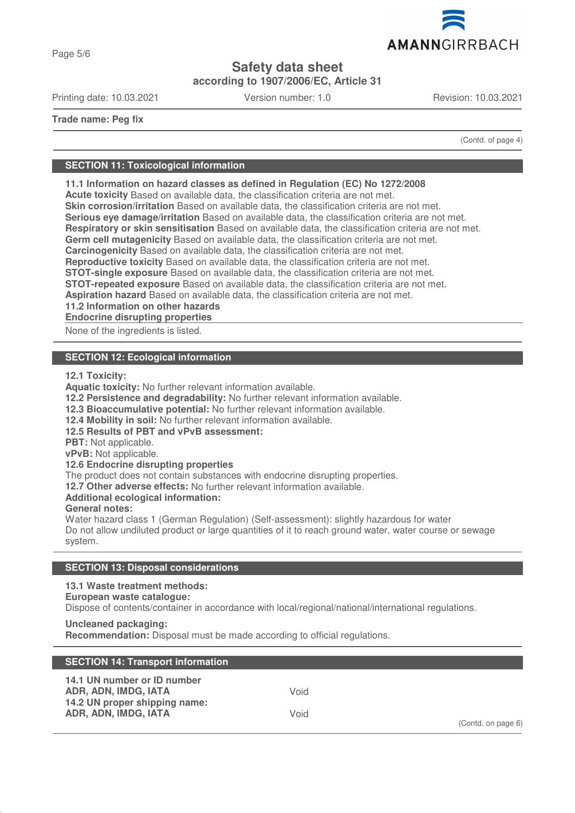

Page 5/6

# **Safety data sheet**

**according to 1907/2006/EC, Article 31**

Printing date: 10.03.2021 Version number: 1.0 Revision: 10.03.2021

**Trade name: Peg fix**

(Contd. of page 4)

# **SECTION 11: Toxicological information**

**11.1 Information on hazard classes as defined in Regulation (EC) No 1272/2008 Acute toxicity** Based on available data, the classification criteria are not met.

**Skin corrosion/irritation** Based on available data, the classification criteria are not met.

**Serious eye damage/irritation** Based on available data, the classification criteria are not met.

**Respiratory or skin sensitisation** Based on available data, the classification criteria are not met.

**Germ cell mutagenicity** Based on available data, the classification criteria are not met.

**Carcinogenicity** Based on available data, the classification criteria are not met.

**Reproductive toxicity** Based on available data, the classification criteria are not met.

**STOT-single exposure** Based on available data, the classification criteria are not met.

**STOT-repeated exposure** Based on available data, the classification criteria are not met.

**Aspiration hazard** Based on available data, the classification criteria are not met.

**11.2 Information on other hazards**

**Endocrine disrupting properties** 

None of the ingredients is listed.

# **SECTION 12: Ecological information**

**12.1 Toxicity:**

**Aquatic toxicity:** No further relevant information available.

**12.2 Persistence and degradability:** No further relevant information available.

**12.3 Bioaccumulative potential:** No further relevant information available.

**12.4 Mobility in soil:** No further relevant information available.

**12.5 Results of PBT and vPvB assessment:**

**PBT:** Not applicable.

**vPvB:** Not applicable.

**12.6 Endocrine disrupting properties**

The product does not contain substances with endocrine disrupting properties.

**12.7 Other adverse effects:** No further relevant information available.

**Additional ecological information:**

**General notes:**

Water hazard class 1 (German Regulation) (Self-assessment): slightly hazardous for water Do not allow undiluted product or large quantities of it to reach ground water, water course or sewage system.

# **SECTION 13: Disposal considerations**

**13.1 Waste treatment methods:**

**European waste catalogue:**

Dispose of contents/container in accordance with local/regional/national/international regulations.

**Uncleaned packaging: Recommendation:** Disposal must be made according to official regulations.

| <b>SECTION 14: Transport information</b>                                                                     |              |                    |
|--------------------------------------------------------------------------------------------------------------|--------------|--------------------|
| 14.1 UN number or ID number<br>ADR, ADN, IMDG, IATA<br>14.2 UN proper shipping name:<br>ADR, ADN, IMDG, IATA | Void<br>Void | (Contd. on page 6) |